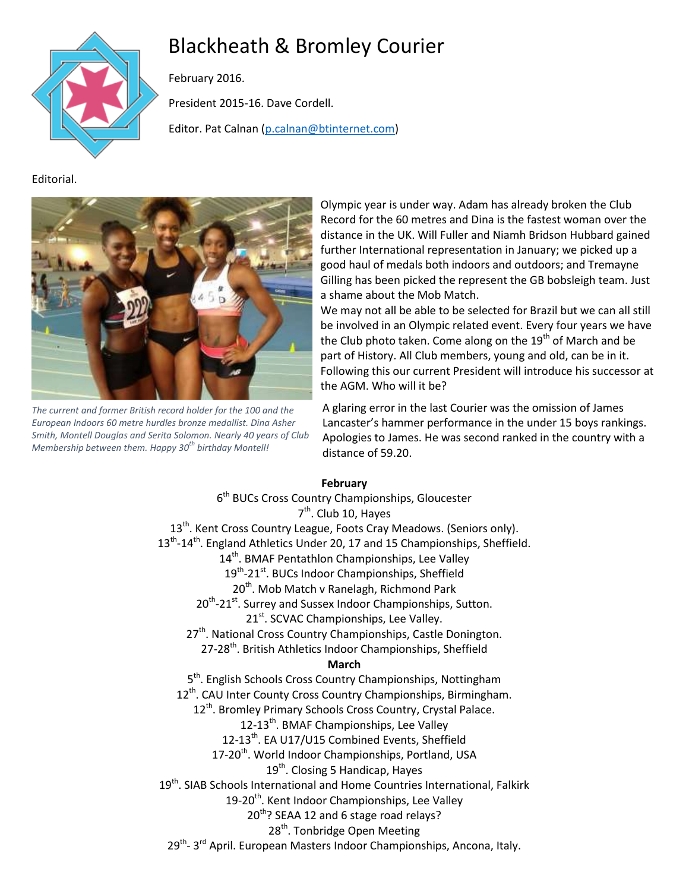# Blackheath & Bromley Courier



February 2016.

President 2015-16. Dave Cordell.

Editor. Pat Calnan [\(p.calnan@btinternet.com\)](mailto:p.calnan@btinternet.com)

Editorial.



*The current and former British record holder for the 100 and the European Indoors 60 metre hurdles bronze medallist. Dina Asher Smith, Montell Douglas and Serita Solomon. Nearly 40 years of Club Membership between them. Happy 30th birthday Montell!*

Olympic year is under way. Adam has already broken the Club Record for the 60 metres and Dina is the fastest woman over the distance in the UK. Will Fuller and Niamh Bridson Hubbard gained further International representation in January; we picked up a good haul of medals both indoors and outdoors; and Tremayne Gilling has been picked the represent the GB bobsleigh team. Just a shame about the Mob Match.

We may not all be able to be selected for Brazil but we can all still be involved in an Olympic related event. Every four years we have the Club photo taken. Come along on the  $19<sup>th</sup>$  of March and be part of History. All Club members, young and old, can be in it. Following this our current President will introduce his successor at the AGM. Who will it be?

A glaring error in the last Courier was the omission of James Lancaster's hammer performance in the under 15 boys rankings. Apologies to James. He was second ranked in the country with a distance of 59.20.

#### **February**

6<sup>th</sup> BUCs Cross Country Championships, Gloucester 7<sup>th</sup>. Club 10, Hayes 13<sup>th</sup>. Kent Cross Country League, Foots Cray Meadows. (Seniors only). 13<sup>th</sup>-14<sup>th</sup>. England Athletics Under 20, 17 and 15 Championships, Sheffield. 14<sup>th</sup>. BMAF Pentathlon Championships, Lee Valley 19<sup>th</sup>-21<sup>st</sup>. BUCs Indoor Championships, Sheffield 20<sup>th</sup>. Mob Match v Ranelagh, Richmond Park 20<sup>th</sup>-21<sup>st</sup>. Surrey and Sussex Indoor Championships, Sutton. 21<sup>st</sup>. SCVAC Championships, Lee Valley.  $27<sup>th</sup>$ . National Cross Country Championships, Castle Donington. 27-28<sup>th</sup>. British Athletics Indoor Championships, Sheffield **March** 5<sup>th</sup>. English Schools Cross Country Championships, Nottingham 12<sup>th</sup>. CAU Inter County Cross Country Championships, Birmingham. 12<sup>th</sup>. Bromley Primary Schools Cross Country, Crystal Palace. 12-13<sup>th</sup>. BMAF Championships, Lee Valley 12-13<sup>th</sup>. EA U17/U15 Combined Events, Sheffield 17-20<sup>th</sup>. World Indoor Championships, Portland, USA 19<sup>th</sup>. Closing 5 Handicap, Hayes 19<sup>th</sup>. SIAB Schools International and Home Countries International, Falkirk 19-20<sup>th</sup>. Kent Indoor Championships, Lee Valley 20<sup>th</sup>? SEAA 12 and 6 stage road relays? 28<sup>th</sup>. Tonbridge Open Meeting 29<sup>th</sup>- 3<sup>rd</sup> April. European Masters Indoor Championships, Ancona, Italy.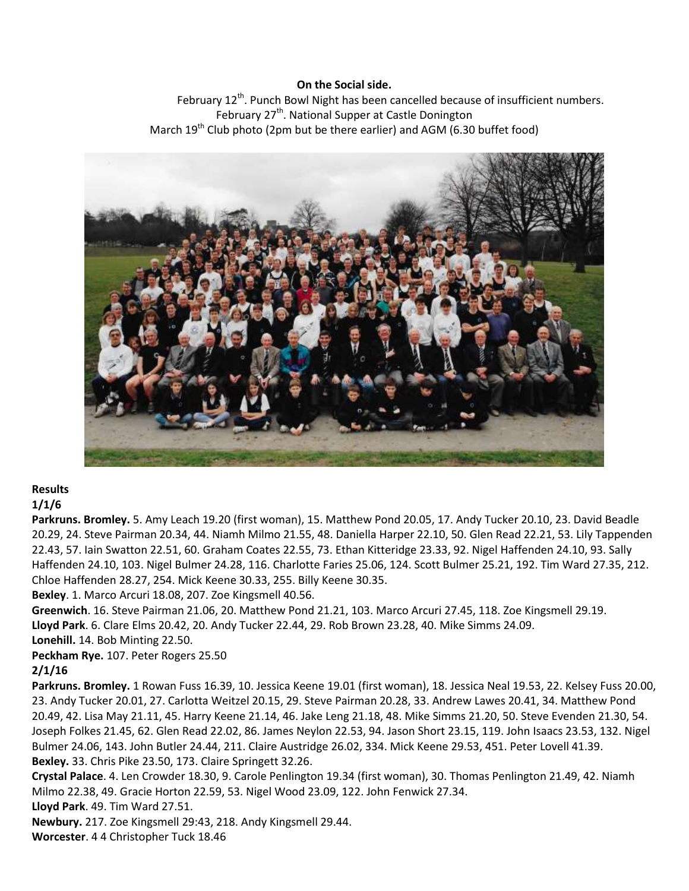#### **On the Social side.**

February 12<sup>th</sup>. Punch Bowl Night has been cancelled because of insufficient numbers. February 27<sup>th</sup>. National Supper at Castle Donington March  $19^{th}$  Club photo (2pm but be there earlier) and AGM (6.30 buffet food)



## **Results**

## **1/1/6**

**Parkruns. Bromley.** 5. Amy Leach 19.20 (first woman), 15. Matthew Pond 20.05, 17. Andy Tucker 20.10, 23. David Beadle 20.29, 24. Steve Pairman 20.34, 44. Niamh Milmo 21.55, 48. Daniella Harper 22.10, 50. Glen Read 22.21, 53. Lily Tappenden 22.43, 57. Iain Swatton 22.51, 60. Graham Coates 22.55, 73. Ethan Kitteridge 23.33, 92. Nigel Haffenden 24.10, 93. Sally Haffenden 24.10, 103. Nigel Bulmer 24.28, 116. Charlotte Faries 25.06, 124. Scott Bulmer 25.21, 192. Tim Ward 27.35, 212. Chloe Haffenden 28.27, 254. Mick Keene 30.33, 255. Billy Keene 30.35.

**Bexley**. 1. Marco Arcuri 18.08, 207. Zoe Kingsmell 40.56.

**Greenwich**. 16. Steve Pairman 21.06, 20. Matthew Pond 21.21, 103. Marco Arcuri 27.45, 118. Zoe Kingsmell 29.19. **Lloyd Park**. 6. Clare Elms 20.42, 20. Andy Tucker 22.44, 29. Rob Brown 23.28, 40. Mike Simms 24.09. **Lonehill.** 14. Bob Minting 22.50.

**Peckham Rye.** 107. Peter Rogers 25.50

#### **2/1/16**

**Parkruns. Bromley.** 1 Rowan Fuss 16.39, 10. Jessica Keene 19.01 (first woman), 18. Jessica Neal 19.53, 22. Kelsey Fuss 20.00, 23. Andy Tucker 20.01, 27. Carlotta Weitzel 20.15, 29. Steve Pairman 20.28, 33. Andrew Lawes 20.41, 34. Matthew Pond 20.49, 42. Lisa May 21.11, 45. Harry Keene 21.14, 46. Jake Leng 21.18, 48. Mike Simms 21.20, 50. Steve Evenden 21.30, 54. Joseph Folkes 21.45, 62. Glen Read 22.02, 86. James Neylon 22.53, 94. Jason Short 23.15, 119. John Isaacs 23.53, 132. Nigel Bulmer 24.06, 143. John Butler 24.44, 211. Claire Austridge 26.02, 334. Mick Keene 29.53, 451. Peter Lovell 41.39. **Bexley.** 33. Chris Pike 23.50, 173. Claire Springett 32.26.

**Crystal Palace**. 4. Len Crowder 18.30, 9. Carole Penlington 19.34 (first woman), 30. Thomas Penlington 21.49, 42. Niamh Milmo 22.38, 49. Gracie Horton 22.59, 53. Nigel Wood 23.09, 122. John Fenwick 27.34.

**Lloyd Park**. 49. Tim Ward 27.51.

**Newbury.** 217. Zoe Kingsmell 29:43, 218. Andy Kingsmell 29.44.

**Worcester**. 4 4 Christopher Tuck 18.46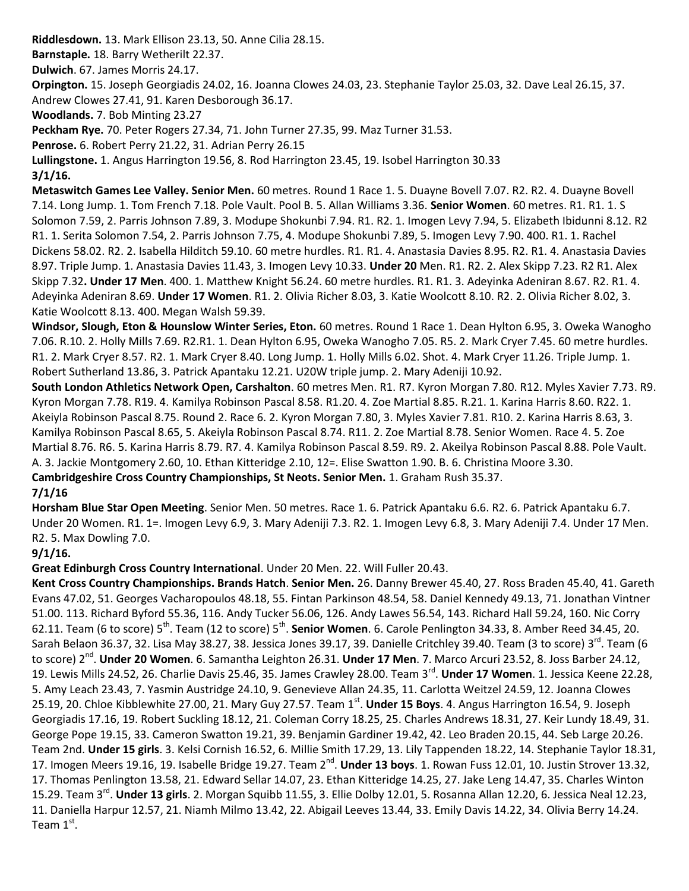**Riddlesdown.** 13. Mark Ellison 23.13, 50. Anne Cilia 28.15. **Barnstaple.** 18. Barry Wetherilt 22.37.

**Dulwich**. 67. James Morris 24.17.

**Orpington.** 15. Joseph Georgiadis 24.02, 16. Joanna Clowes 24.03, 23. Stephanie Taylor 25.03, 32. Dave Leal 26.15, 37. Andrew Clowes 27.41, 91. Karen Desborough 36.17.

**Woodlands.** 7. Bob Minting 23.27

**Peckham Rye.** 70. Peter Rogers 27.34, 71. John Turner 27.35, 99. Maz Turner 31.53.

**Penrose.** 6. Robert Perry 21.22, 31. Adrian Perry 26.15

**Lullingstone.** 1. Angus Harrington 19.56, 8. Rod Harrington 23.45, 19. Isobel Harrington 30.33

**3/1/16.**

**Metaswitch Games Lee Valley. Senior Men.** 60 metres. Round 1 Race 1. 5. Duayne Bovell 7.07. R2. R2. 4. Duayne Bovell 7.14. Long Jump. 1. Tom French 7.18. Pole Vault. Pool B. 5. Allan Williams 3.36. **Senior Women**. 60 metres. R1. R1. 1. S Solomon 7.59, 2. Parris Johnson 7.89, 3. Modupe Shokunbi 7.94. R1. R2. 1. Imogen Levy 7.94, 5. Elizabeth Ibidunni 8.12. R2 R1. 1. Serita Solomon 7.54, 2. Parris Johnson 7.75, 4. Modupe Shokunbi 7.89, 5. Imogen Levy 7.90. 400. R1. 1. Rachel Dickens 58.02. R2. 2. Isabella Hilditch 59.10. 60 metre hurdles. R1. R1. 4. Anastasia Davies 8.95. R2. R1. 4. Anastasia Davies 8.97. Triple Jump. 1. Anastasia Davies 11.43, 3. Imogen Levy 10.33. **Under 20** Men. R1. R2. 2. Alex Skipp 7.23. R2 R1. Alex Skipp 7.32**. Under 17 Men**. 400. 1. Matthew Knight 56.24. 60 metre hurdles. R1. R1. 3. Adeyinka Adeniran 8.67. R2. R1. 4. Adeyinka Adeniran 8.69. **Under 17 Women**. R1. 2. Olivia Richer 8.03, 3. Katie Woolcott 8.10. R2. 2. Olivia Richer 8.02, 3. Katie Woolcott 8.13. 400. Megan Walsh 59.39.

**Windsor, Slough, Eton & Hounslow Winter Series, Eton.** 60 metres. Round 1 Race 1. Dean Hylton 6.95, 3. Oweka Wanogho 7.06. R.10. 2. Holly Mills 7.69. R2.R1. 1. Dean Hylton 6.95, Oweka Wanogho 7.05. R5. 2. Mark Cryer 7.45. 60 metre hurdles. R1. 2. Mark Cryer 8.57. R2. 1. Mark Cryer 8.40. Long Jump. 1. Holly Mills 6.02. Shot. 4. Mark Cryer 11.26. Triple Jump. 1. Robert Sutherland 13.86, 3. Patrick Apantaku 12.21. U20W triple jump. 2. Mary Adeniji 10.92.

**South London Athletics Network Open, Carshalton**. 60 metres Men. R1. R7. Kyron Morgan 7.80. R12. Myles Xavier 7.73. R9. Kyron Morgan 7.78. R19. 4. Kamilya Robinson Pascal 8.58. R1.20. 4. Zoe Martial 8.85. R.21. 1. Karina Harris 8.60. R22. 1. Akeiyla Robinson Pascal 8.75. Round 2. Race 6. 2. Kyron Morgan 7.80, 3. Myles Xavier 7.81. R10. 2. Karina Harris 8.63, 3. Kamilya Robinson Pascal 8.65, 5. Akeiyla Robinson Pascal 8.74. R11. 2. Zoe Martial 8.78. Senior Women. Race 4. 5. Zoe Martial 8.76. R6. 5. Karina Harris 8.79. R7. 4. Kamilya Robinson Pascal 8.59. R9. 2. Akeilya Robinson Pascal 8.88. Pole Vault. A. 3. Jackie Montgomery 2.60, 10. Ethan Kitteridge 2.10, 12=. Elise Swatton 1.90. B. 6. Christina Moore 3.30. **Cambridgeshire Cross Country Championships, St Neots. Senior Men.** 1. Graham Rush 35.37.

#### **7/1/16**

**Horsham Blue Star Open Meeting**. Senior Men. 50 metres. Race 1. 6. Patrick Apantaku 6.6. R2. 6. Patrick Apantaku 6.7. Under 20 Women. R1. 1=. Imogen Levy 6.9, 3. Mary Adeniji 7.3. R2. 1. Imogen Levy 6.8, 3. Mary Adeniji 7.4. Under 17 Men. R2. 5. Max Dowling 7.0.

**9/1/16.**

**Great Edinburgh Cross Country International**. Under 20 Men. 22. Will Fuller 20.43.

**Kent Cross Country Championships. Brands Hatch**. **Senior Men.** 26. Danny Brewer 45.40, 27. Ross Braden 45.40, 41. Gareth Evans 47.02, 51. Georges Vacharopoulos 48.18, 55. Fintan Parkinson 48.54, 58. Daniel Kennedy 49.13, 71. Jonathan Vintner 51.00. 113. Richard Byford 55.36, 116. Andy Tucker 56.06, 126. Andy Lawes 56.54, 143. Richard Hall 59.24, 160. Nic Corry 62.11. Team (6 to score) 5<sup>th</sup>. Team (12 to score) 5<sup>th</sup>. **Senior Women**. 6. Carole Penlington 34.33, 8. Amber Reed 34.45, 20. Sarah Belaon 36.37, 32. Lisa May 38.27, 38. Jessica Jones 39.17, 39. Danielle Critchley 39.40. Team (3 to score) 3<sup>rd</sup>. Team (6 to score) 2nd . **Under 20 Women**. 6. Samantha Leighton 26.31. **Under 17 Men**. 7. Marco Arcuri 23.52, 8. Joss Barber 24.12, 19. Lewis Mills 24.52, 26. Charlie Davis 25.46, 35. James Crawley 28.00. Team 3<sup>rd</sup>. **Under 17 Women**. 1. Jessica Keene 22.28, 5. Amy Leach 23.43, 7. Yasmin Austridge 24.10, 9. Genevieve Allan 24.35, 11. Carlotta Weitzel 24.59, 12. Joanna Clowes 25.19, 20. Chloe Kibblewhite 27.00, 21. Mary Guy 27.57. Team 1<sup>st</sup>. Under 15 Boys. 4. Angus Harrington 16.54, 9. Joseph Georgiadis 17.16, 19. Robert Suckling 18.12, 21. Coleman Corry 18.25, 25. Charles Andrews 18.31, 27. Keir Lundy 18.49, 31. George Pope 19.15, 33. Cameron Swatton 19.21, 39. Benjamin Gardiner 19.42, 42. Leo Braden 20.15, 44. Seb Large 20.26. Team 2nd. **Under 15 girls**. 3. Kelsi Cornish 16.52, 6. Millie Smith 17.29, 13. Lily Tappenden 18.22, 14. Stephanie Taylor 18.31, 17. Imogen Meers 19.16, 19. Isabelle Bridge 19.27. Team 2<sup>nd</sup>. **Under 13 boys**. 1. Rowan Fuss 12.01, 10. Justin Strover 13.32, 17. Thomas Penlington 13.58, 21. Edward Sellar 14.07, 23. Ethan Kitteridge 14.25, 27. Jake Leng 14.47, 35. Charles Winton 15.29. Team 3<sup>rd</sup>. **Under 13 girls**. 2. Morgan Squibb 11.55, 3. Ellie Dolby 12.01, 5. Rosanna Allan 12.20, 6. Jessica Neal 12.23, 11. Daniella Harpur 12.57, 21. Niamh Milmo 13.42, 22. Abigail Leeves 13.44, 33. Emily Davis 14.22, 34. Olivia Berry 14.24. Team  $1^{\text{st}}$ .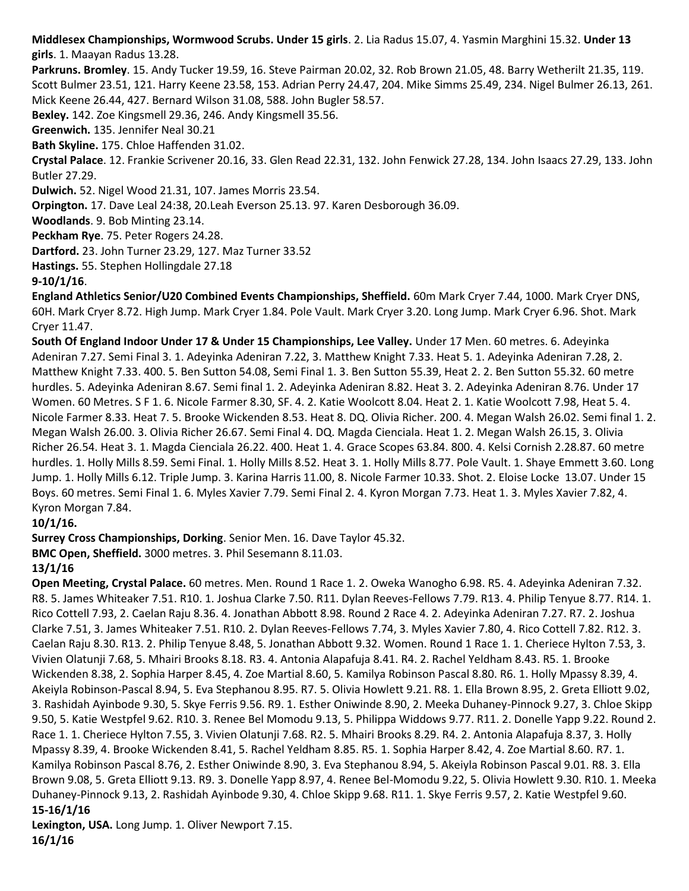**Middlesex Championships, Wormwood Scrubs. Under 15 girls**. 2. Lia Radus 15.07, 4. Yasmin Marghini 15.32. **Under 13 girls**. 1. Maayan Radus 13.28.

**Parkruns. Bromley**. 15. Andy Tucker 19.59, 16. Steve Pairman 20.02, 32. Rob Brown 21.05, 48. Barry Wetherilt 21.35, 119. Scott Bulmer 23.51, 121. Harry Keene 23.58, 153. Adrian Perry 24.47, 204. Mike Simms 25.49, 234. Nigel Bulmer 26.13, 261. Mick Keene 26.44, 427. Bernard Wilson 31.08, 588. John Bugler 58.57.

**Bexley.** 142. Zoe Kingsmell 29.36, 246. Andy Kingsmell 35.56.

**Greenwich.** 135. Jennifer Neal 30.21

**Bath Skyline.** 175. Chloe Haffenden 31.02.

**Crystal Palace**. 12. Frankie Scrivener 20.16, 33. Glen Read 22.31, 132. John Fenwick 27.28, 134. John Isaacs 27.29, 133. John Butler 27.29.

**Dulwich.** 52. Nigel Wood 21.31, 107. James Morris 23.54.

**Orpington.** 17. Dave Leal 24:38, 20.Leah Everson 25.13. 97. Karen Desborough 36.09.

**Woodlands**. 9. Bob Minting 23.14.

**Peckham Rye**. 75. Peter Rogers 24.28.

**Dartford.** 23. John Turner 23.29, 127. Maz Turner 33.52

**Hastings.** 55. Stephen Hollingdale 27.18

**9-10/1/16**.

**England Athletics Senior/U20 Combined Events Championships, Sheffield.** 60m Mark Cryer 7.44, 1000. Mark Cryer DNS, 60H. Mark Cryer 8.72. High Jump. Mark Cryer 1.84. Pole Vault. Mark Cryer 3.20. Long Jump. Mark Cryer 6.96. Shot. Mark Cryer 11.47.

**South Of England Indoor Under 17 & Under 15 Championships, Lee Valley.** Under 17 Men. 60 metres. 6. Adeyinka Adeniran 7.27. Semi Final 3. 1. Adeyinka Adeniran 7.22, 3. Matthew Knight 7.33. Heat 5. 1. Adeyinka Adeniran 7.28, 2. Matthew Knight 7.33. 400. 5. Ben Sutton 54.08, Semi Final 1. 3. Ben Sutton 55.39, Heat 2. 2. Ben Sutton 55.32. 60 metre hurdles. 5. Adeyinka Adeniran 8.67. Semi final 1. 2. Adeyinka Adeniran 8.82. Heat 3. 2. Adeyinka Adeniran 8.76. Under 17 Women. 60 Metres. S F 1. 6. Nicole Farmer 8.30, SF. 4. 2. Katie Woolcott 8.04. Heat 2. 1. Katie Woolcott 7.98, Heat 5. 4. Nicole Farmer 8.33. Heat 7. 5. Brooke Wickenden 8.53. Heat 8. DQ. Olivia Richer. 200. 4. Megan Walsh 26.02. Semi final 1. 2. Megan Walsh 26.00. 3. Olivia Richer 26.67. Semi Final 4. DQ. Magda Cienciala. Heat 1. 2. Megan Walsh 26.15, 3. Olivia Richer 26.54. Heat 3. 1. Magda Cienciala 26.22. 400. Heat 1. 4. Grace Scopes 63.84. 800. 4. Kelsi Cornish 2.28.87. 60 metre hurdles. 1. Holly Mills 8.59. Semi Final. 1. Holly Mills 8.52. Heat 3. 1. Holly Mills 8.77. Pole Vault. 1. Shaye Emmett 3.60. Long Jump. 1. Holly Mills 6.12. Triple Jump. 3. Karina Harris 11.00, 8. Nicole Farmer 10.33. Shot. 2. Eloise Locke 13.07. Under 15 Boys. 60 metres. Semi Final 1. 6. Myles Xavier 7.79. Semi Final 2. 4. Kyron Morgan 7.73. Heat 1. 3. Myles Xavier 7.82, 4. Kyron Morgan 7.84.

**10/1/16.**

**Surrey Cross Championships, Dorking**. Senior Men. 16. Dave Taylor 45.32.

**BMC Open, Sheffield.** 3000 metres. 3. Phil Sesemann 8.11.03.

**13/1/16**

**Open Meeting, Crystal Palace.** 60 metres. Men. Round 1 Race 1. 2. Oweka Wanogho 6.98. R5. 4. Adeyinka Adeniran 7.32. R8. 5. James Whiteaker 7.51. R10. 1. Joshua Clarke 7.50. R11. Dylan Reeves-Fellows 7.79. R13. 4. Philip Tenyue 8.77. R14. 1. Rico Cottell 7.93, 2. Caelan Raju 8.36. 4. Jonathan Abbott 8.98. Round 2 Race 4. 2. Adeyinka Adeniran 7.27. R7. 2. Joshua Clarke 7.51, 3. James Whiteaker 7.51. R10. 2. Dylan Reeves-Fellows 7.74, 3. Myles Xavier 7.80, 4. Rico Cottell 7.82. R12. 3. Caelan Raju 8.30. R13. 2. Philip Tenyue 8.48, 5. Jonathan Abbott 9.32. Women. Round 1 Race 1. 1. Cheriece Hylton 7.53, 3. Vivien Olatunji 7.68, 5. Mhairi Brooks 8.18. R3. 4. Antonia Alapafuja 8.41. R4. 2. Rachel Yeldham 8.43. R5. 1. Brooke Wickenden 8.38, 2. Sophia Harper 8.45, 4. Zoe Martial 8.60, 5. Kamilya Robinson Pascal 8.80. R6. 1. Holly Mpassy 8.39, 4. Akeiyla Robinson-Pascal 8.94, 5. Eva Stephanou 8.95. R7. 5. Olivia Howlett 9.21. R8. 1. Ella Brown 8.95, 2. Greta Elliott 9.02, 3. Rashidah Ayinbode 9.30, 5. Skye Ferris 9.56. R9. 1. Esther Oniwinde 8.90, 2. Meeka Duhaney-Pinnock 9.27, 3. Chloe Skipp 9.50, 5. Katie Westpfel 9.62. R10. 3. Renee Bel Momodu 9.13, 5. Philippa Widdows 9.77. R11. 2. Donelle Yapp 9.22. Round 2. Race 1. 1. Cheriece Hylton 7.55, 3. Vivien Olatunji 7.68. R2. 5. Mhairi Brooks 8.29. R4. 2. Antonia Alapafuja 8.37, 3. Holly Mpassy 8.39, 4. Brooke Wickenden 8.41, 5. Rachel Yeldham 8.85. R5. 1. Sophia Harper 8.42, 4. Zoe Martial 8.60. R7. 1. Kamilya Robinson Pascal 8.76, 2. Esther Oniwinde 8.90, 3. Eva Stephanou 8.94, 5. Akeiyla Robinson Pascal 9.01. R8. 3. Ella Brown 9.08, 5. Greta Elliott 9.13. R9. 3. Donelle Yapp 8.97, 4. Renee Bel-Momodu 9.22, 5. Olivia Howlett 9.30. R10. 1. Meeka Duhaney-Pinnock 9.13, 2. Rashidah Ayinbode 9.30, 4. Chloe Skipp 9.68. R11. 1. Skye Ferris 9.57, 2. Katie Westpfel 9.60. **15-16/1/16**

**Lexington, USA.** Long Jump. 1. Oliver Newport 7.15. **16/1/16**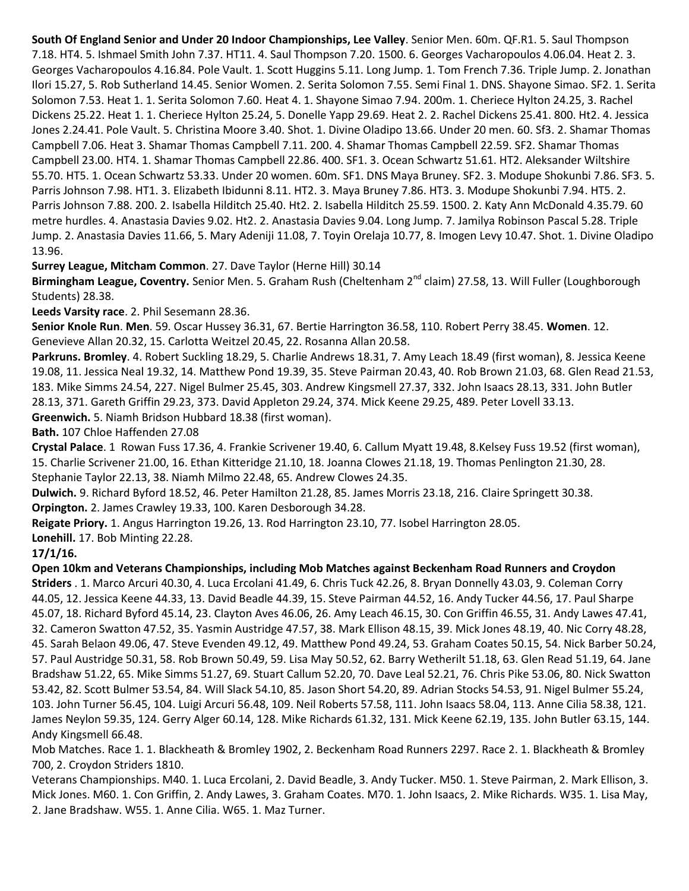**South Of England Senior and Under 20 Indoor Championships, Lee Valley**. Senior Men. 60m. QF.R1. 5. Saul Thompson 7.18. HT4. 5. Ishmael Smith John 7.37. HT11. 4. Saul Thompson 7.20. 1500. 6. Georges Vacharopoulos 4.06.04. Heat 2. 3. Georges Vacharopoulos 4.16.84. Pole Vault. 1. Scott Huggins 5.11. Long Jump. 1. Tom French 7.36. Triple Jump. 2. Jonathan Ilori 15.27, 5. Rob Sutherland 14.45. Senior Women. 2. Serita Solomon 7.55. Semi Final 1. DNS. Shayone Simao. SF2. 1. Serita Solomon 7.53. Heat 1. 1. Serita Solomon 7.60. Heat 4. 1. Shayone Simao 7.94. 200m. 1. Cheriece Hylton 24.25, 3. Rachel Dickens 25.22. Heat 1. 1. Cheriece Hylton 25.24, 5. Donelle Yapp 29.69. Heat 2. 2. Rachel Dickens 25.41. 800. Ht2. 4. Jessica Jones 2.24.41. Pole Vault. 5. Christina Moore 3.40. Shot. 1. Divine Oladipo 13.66. Under 20 men. 60. Sf3. 2. Shamar Thomas Campbell 7.06. Heat 3. Shamar Thomas Campbell 7.11. 200. 4. Shamar Thomas Campbell 22.59. SF2. Shamar Thomas Campbell 23.00. HT4. 1. Shamar Thomas Campbell 22.86. 400. SF1. 3. Ocean Schwartz 51.61. HT2. Aleksander Wiltshire 55.70. HT5. 1. Ocean Schwartz 53.33. Under 20 women. 60m. SF1. DNS Maya Bruney. SF2. 3. Modupe Shokunbi 7.86. SF3. 5. Parris Johnson 7.98. HT1. 3. Elizabeth Ibidunni 8.11. HT2. 3. Maya Bruney 7.86. HT3. 3. Modupe Shokunbi 7.94. HT5. 2. Parris Johnson 7.88. 200. 2. Isabella Hilditch 25.40. Ht2. 2. Isabella Hilditch 25.59. 1500. 2. Katy Ann McDonald 4.35.79. 60 metre hurdles. 4. Anastasia Davies 9.02. Ht2. 2. Anastasia Davies 9.04. Long Jump. 7. Jamilya Robinson Pascal 5.28. Triple Jump. 2. Anastasia Davies 11.66, 5. Mary Adeniji 11.08, 7. Toyin Orelaja 10.77, 8. Imogen Levy 10.47. Shot. 1. Divine Oladipo 13.96.

**Surrey League, Mitcham Common**. 27. Dave Taylor (Herne Hill) 30.14

Birmingham League, Coventry. Senior Men. 5. Graham Rush (Cheltenham 2<sup>nd</sup> claim) 27.58, 13. Will Fuller (Loughborough Students) 28.38.

**Leeds Varsity race**. 2. Phil Sesemann 28.36.

**Senior Knole Run**. **Men**. 59. Oscar Hussey 36.31, 67. Bertie Harrington 36.58, 110. Robert Perry 38.45. **Women**. 12. Genevieve Allan 20.32, 15. Carlotta Weitzel 20.45, 22. Rosanna Allan 20.58.

**Parkruns. Bromley**. 4. Robert Suckling 18.29, 5. Charlie Andrews 18.31, 7. Amy Leach 18.49 (first woman), 8. Jessica Keene 19.08, 11. Jessica Neal 19.32, 14. Matthew Pond 19.39, 35. Steve Pairman 20.43, 40. Rob Brown 21.03, 68. Glen Read 21.53, 183. Mike Simms 24.54, 227. Nigel Bulmer 25.45, 303. Andrew Kingsmell 27.37, 332. John Isaacs 28.13, 331. John Butler 28.13, 371. Gareth Griffin 29.23, 373. David Appleton 29.24, 374. Mick Keene 29.25, 489. Peter Lovell 33.13. **Greenwich.** 5. Niamh Bridson Hubbard 18.38 (first woman).

**Bath.** 107 Chloe Haffenden 27.08

**Crystal Palace**. 1 Rowan Fuss 17.36, 4. Frankie Scrivener 19.40, 6. Callum Myatt 19.48, 8.Kelsey Fuss 19.52 (first woman), 15. Charlie Scrivener 21.00, 16. Ethan Kitteridge 21.10, 18. Joanna Clowes 21.18, 19. Thomas Penlington 21.30, 28. Stephanie Taylor 22.13, 38. Niamh Milmo 22.48, 65. Andrew Clowes 24.35.

**Dulwich.** 9. Richard Byford 18.52, 46. Peter Hamilton 21.28, 85. James Morris 23.18, 216. Claire Springett 30.38. **Orpington.** 2. James Crawley 19.33, 100. Karen Desborough 34.28.

**Reigate Priory.** 1. Angus Harrington 19.26, 13. Rod Harrington 23.10, 77. Isobel Harrington 28.05.

**Lonehill.** 17. Bob Minting 22.28.

#### **17/1/16.**

**Open 10km and Veterans Championships, including Mob Matches against Beckenham Road Runners and Croydon Striders** . 1. Marco Arcuri 40.30, 4. Luca Ercolani 41.49, 6. Chris Tuck 42.26, 8. Bryan Donnelly 43.03, 9. Coleman Corry 44.05, 12. Jessica Keene 44.33, 13. David Beadle 44.39, 15. Steve Pairman 44.52, 16. Andy Tucker 44.56, 17. Paul Sharpe 45.07, 18. Richard Byford 45.14, 23. Clayton Aves 46.06, 26. Amy Leach 46.15, 30. Con Griffin 46.55, 31. Andy Lawes 47.41, 32. Cameron Swatton 47.52, 35. Yasmin Austridge 47.57, 38. Mark Ellison 48.15, 39. Mick Jones 48.19, 40. Nic Corry 48.28, 45. Sarah Belaon 49.06, 47. Steve Evenden 49.12, 49. Matthew Pond 49.24, 53. Graham Coates 50.15, 54. Nick Barber 50.24, 57. Paul Austridge 50.31, 58. Rob Brown 50.49, 59. Lisa May 50.52, 62. Barry Wetherilt 51.18, 63. Glen Read 51.19, 64. Jane Bradshaw 51.22, 65. Mike Simms 51.27, 69. Stuart Callum 52.20, 70. Dave Leal 52.21, 76. Chris Pike 53.06, 80. Nick Swatton 53.42, 82. Scott Bulmer 53.54, 84. Will Slack 54.10, 85. Jason Short 54.20, 89. Adrian Stocks 54.53, 91. Nigel Bulmer 55.24, 103. John Turner 56.45, 104. Luigi Arcuri 56.48, 109. Neil Roberts 57.58, 111. John Isaacs 58.04, 113. Anne Cilia 58.38, 121. James Neylon 59.35, 124. Gerry Alger 60.14, 128. Mike Richards 61.32, 131. Mick Keene 62.19, 135. John Butler 63.15, 144. Andy Kingsmell 66.48.

Mob Matches. Race 1. 1. Blackheath & Bromley 1902, 2. Beckenham Road Runners 2297. Race 2. 1. Blackheath & Bromley 700, 2. Croydon Striders 1810.

Veterans Championships. M40. 1. Luca Ercolani, 2. David Beadle, 3. Andy Tucker. M50. 1. Steve Pairman, 2. Mark Ellison, 3. Mick Jones. M60. 1. Con Griffin, 2. Andy Lawes, 3. Graham Coates. M70. 1. John Isaacs, 2. Mike Richards. W35. 1. Lisa May, 2. Jane Bradshaw. W55. 1. Anne Cilia. W65. 1. Maz Turner.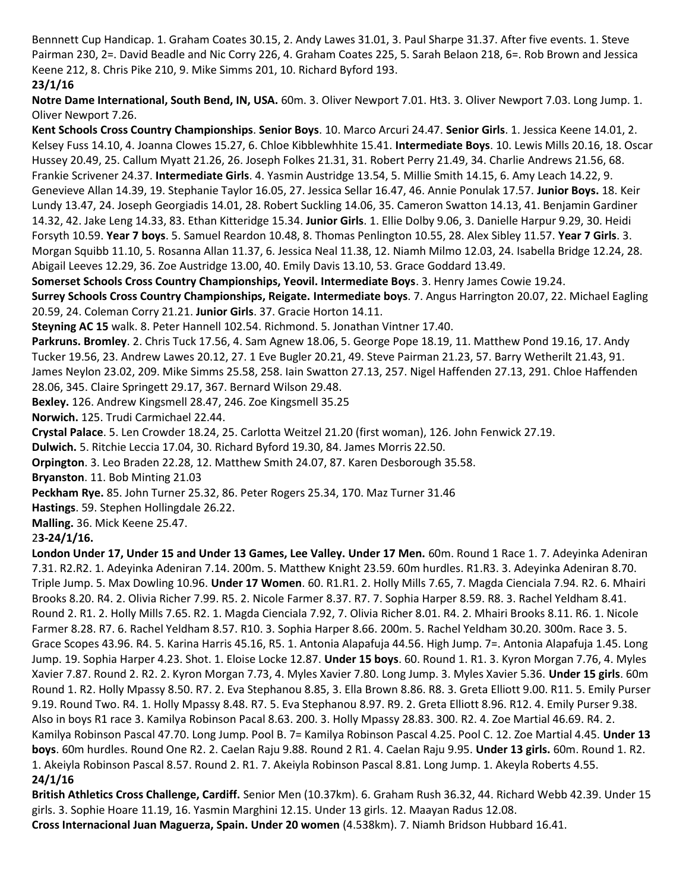Bennnett Cup Handicap. 1. Graham Coates 30.15, 2. Andy Lawes 31.01, 3. Paul Sharpe 31.37. After five events. 1. Steve Pairman 230, 2=. David Beadle and Nic Corry 226, 4. Graham Coates 225, 5. Sarah Belaon 218, 6=. Rob Brown and Jessica Keene 212, 8. Chris Pike 210, 9. Mike Simms 201, 10. Richard Byford 193.

#### **23/1/16**

**Notre Dame International, South Bend, IN, USA.** 60m. 3. Oliver Newport 7.01. Ht3. 3. Oliver Newport 7.03. Long Jump. 1. Oliver Newport 7.26.

**Kent Schools Cross Country Championships**. **Senior Boys**. 10. Marco Arcuri 24.47. **Senior Girls**. 1. Jessica Keene 14.01, 2. Kelsey Fuss 14.10, 4. Joanna Clowes 15.27, 6. Chloe Kibblewhhite 15.41. **Intermediate Boys**. 10. Lewis Mills 20.16, 18. Oscar Hussey 20.49, 25. Callum Myatt 21.26, 26. Joseph Folkes 21.31, 31. Robert Perry 21.49, 34. Charlie Andrews 21.56, 68. Frankie Scrivener 24.37. **Intermediate Girls**. 4. Yasmin Austridge 13.54, 5. Millie Smith 14.15, 6. Amy Leach 14.22, 9. Genevieve Allan 14.39, 19. Stephanie Taylor 16.05, 27. Jessica Sellar 16.47, 46. Annie Ponulak 17.57. **Junior Boys.** 18. Keir Lundy 13.47, 24. Joseph Georgiadis 14.01, 28. Robert Suckling 14.06, 35. Cameron Swatton 14.13, 41. Benjamin Gardiner 14.32, 42. Jake Leng 14.33, 83. Ethan Kitteridge 15.34. **Junior Girls**. 1. Ellie Dolby 9.06, 3. Danielle Harpur 9.29, 30. Heidi Forsyth 10.59. **Year 7 boys**. 5. Samuel Reardon 10.48, 8. Thomas Penlington 10.55, 28. Alex Sibley 11.57. **Year 7 Girls**. 3. Morgan Squibb 11.10, 5. Rosanna Allan 11.37, 6. Jessica Neal 11.38, 12. Niamh Milmo 12.03, 24. Isabella Bridge 12.24, 28. Abigail Leeves 12.29, 36. Zoe Austridge 13.00, 40. Emily Davis 13.10, 53. Grace Goddard 13.49.

**Somerset Schools Cross Country Championships, Yeovil. Intermediate Boys**. 3. Henry James Cowie 19.24.

**Surrey Schools Cross Country Championships, Reigate. Intermediate boys**. 7. Angus Harrington 20.07, 22. Michael Eagling 20.59, 24. Coleman Corry 21.21. **Junior Girls**. 37. Gracie Horton 14.11.

**Steyning AC 15** walk. 8. Peter Hannell 102.54. Richmond. 5. Jonathan Vintner 17.40.

**Parkruns. Bromley**. 2. Chris Tuck 17.56, 4. Sam Agnew 18.06, 5. George Pope 18.19, 11. Matthew Pond 19.16, 17. Andy Tucker 19.56, 23. Andrew Lawes 20.12, 27. 1 Eve Bugler 20.21, 49. Steve Pairman 21.23, 57. Barry Wetherilt 21.43, 91. James Neylon 23.02, 209. Mike Simms 25.58, 258. Iain Swatton 27.13, 257. Nigel Haffenden 27.13, 291. Chloe Haffenden 28.06, 345. Claire Springett 29.17, 367. Bernard Wilson 29.48.

**Bexley.** 126. Andrew Kingsmell 28.47, 246. Zoe Kingsmell 35.25

**Norwich.** 125. Trudi Carmichael 22.44.

**Crystal Palace**. 5. Len Crowder 18.24, 25. Carlotta Weitzel 21.20 (first woman), 126. John Fenwick 27.19.

**Dulwich.** 5. Ritchie Leccia 17.04, 30. Richard Byford 19.30, 84. James Morris 22.50.

**Orpington**. 3. Leo Braden 22.28, 12. Matthew Smith 24.07, 87. Karen Desborough 35.58.

**Bryanston**. 11. Bob Minting 21.03

**Peckham Rye.** 85. John Turner 25.32, 86. Peter Rogers 25.34, 170. Maz Turner 31.46

**Hastings**. 59. Stephen Hollingdale 26.22.

**Malling.** 36. Mick Keene 25.47.

2**3-24/1/16.**

**London Under 17, Under 15 and Under 13 Games, Lee Valley. Under 17 Men.** 60m. Round 1 Race 1. 7. Adeyinka Adeniran 7.31. R2.R2. 1. Adeyinka Adeniran 7.14. 200m. 5. Matthew Knight 23.59. 60m hurdles. R1.R3. 3. Adeyinka Adeniran 8.70. Triple Jump. 5. Max Dowling 10.96. **Under 17 Women**. 60. R1.R1. 2. Holly Mills 7.65, 7. Magda Cienciala 7.94. R2. 6. Mhairi Brooks 8.20. R4. 2. Olivia Richer 7.99. R5. 2. Nicole Farmer 8.37. R7. 7. Sophia Harper 8.59. R8. 3. Rachel Yeldham 8.41. Round 2. R1. 2. Holly Mills 7.65. R2. 1. Magda Cienciala 7.92, 7. Olivia Richer 8.01. R4. 2. Mhairi Brooks 8.11. R6. 1. Nicole Farmer 8.28. R7. 6. Rachel Yeldham 8.57. R10. 3. Sophia Harper 8.66. 200m. 5. Rachel Yeldham 30.20. 300m. Race 3. 5. Grace Scopes 43.96. R4. 5. Karina Harris 45.16, R5. 1. Antonia Alapafuja 44.56. High Jump. 7=. Antonia Alapafuja 1.45. Long Jump. 19. Sophia Harper 4.23. Shot. 1. Eloise Locke 12.87. **Under 15 boys**. 60. Round 1. R1. 3. Kyron Morgan 7.76, 4. Myles Xavier 7.87. Round 2. R2. 2. Kyron Morgan 7.73, 4. Myles Xavier 7.80. Long Jump. 3. Myles Xavier 5.36. **Under 15 girls**. 60m Round 1. R2. Holly Mpassy 8.50. R7. 2. Eva Stephanou 8.85, 3. Ella Brown 8.86. R8. 3. Greta Elliott 9.00. R11. 5. Emily Purser 9.19. Round Two. R4. 1. Holly Mpassy 8.48. R7. 5. Eva Stephanou 8.97. R9. 2. Greta Elliott 8.96. R12. 4. Emily Purser 9.38. Also in boys R1 race 3. Kamilya Robinson Pacal 8.63. 200. 3. Holly Mpassy 28.83. 300. R2. 4. Zoe Martial 46.69. R4. 2. Kamilya Robinson Pascal 47.70. Long Jump. Pool B. 7= Kamilya Robinson Pascal 4.25. Pool C. 12. Zoe Martial 4.45. **Under 13 boys**. 60m hurdles. Round One R2. 2. Caelan Raju 9.88. Round 2 R1. 4. Caelan Raju 9.95. **Under 13 girls.** 60m. Round 1. R2. 1. Akeiyla Robinson Pascal 8.57. Round 2. R1. 7. Akeiyla Robinson Pascal 8.81. Long Jump. 1. Akeyla Roberts 4.55. **24/1/16**

**British Athletics Cross Challenge, Cardiff.** Senior Men (10.37km). 6. Graham Rush 36.32, 44. Richard Webb 42.39. Under 15 girls. 3. Sophie Hoare 11.19, 16. Yasmin Marghini 12.15. Under 13 girls. 12. Maayan Radus 12.08. **Cross Internacional Juan Maguerza, Spain. Under 20 women** (4.538km). 7. Niamh Bridson Hubbard 16.41.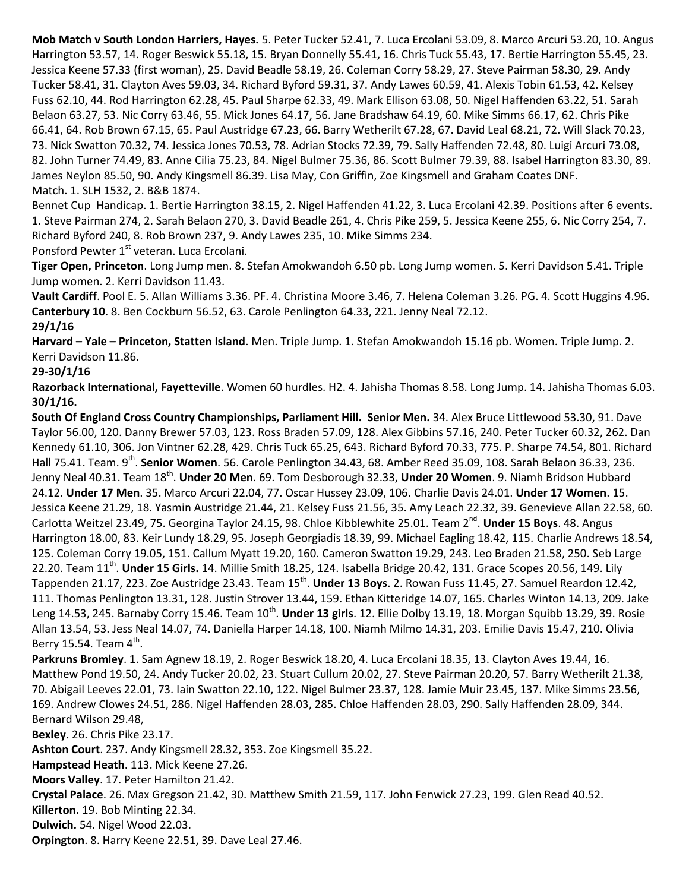**Mob Match v South London Harriers, Hayes.** 5. Peter Tucker 52.41, 7. Luca Ercolani 53.09, 8. Marco Arcuri 53.20, 10. Angus Harrington 53.57, 14. Roger Beswick 55.18, 15. Bryan Donnelly 55.41, 16. Chris Tuck 55.43, 17. Bertie Harrington 55.45, 23. Jessica Keene 57.33 (first woman), 25. David Beadle 58.19, 26. Coleman Corry 58.29, 27. Steve Pairman 58.30, 29. Andy Tucker 58.41, 31. Clayton Aves 59.03, 34. Richard Byford 59.31, 37. Andy Lawes 60.59, 41. Alexis Tobin 61.53, 42. Kelsey Fuss 62.10, 44. Rod Harrington 62.28, 45. Paul Sharpe 62.33, 49. Mark Ellison 63.08, 50. Nigel Haffenden 63.22, 51. Sarah Belaon 63.27, 53. Nic Corry 63.46, 55. Mick Jones 64.17, 56. Jane Bradshaw 64.19, 60. Mike Simms 66.17, 62. Chris Pike 66.41, 64. Rob Brown 67.15, 65. Paul Austridge 67.23, 66. Barry Wetherilt 67.28, 67. David Leal 68.21, 72. Will Slack 70.23, 73. Nick Swatton 70.32, 74. Jessica Jones 70.53, 78. Adrian Stocks 72.39, 79. Sally Haffenden 72.48, 80. Luigi Arcuri 73.08, 82. John Turner 74.49, 83. Anne Cilia 75.23, 84. Nigel Bulmer 75.36, 86. Scott Bulmer 79.39, 88. Isabel Harrington 83.30, 89. James Neylon 85.50, 90. Andy Kingsmell 86.39. Lisa May, Con Griffin, Zoe Kingsmell and Graham Coates DNF. Match. 1. SLH 1532, 2. B&B 1874.

Bennet Cup Handicap. 1. Bertie Harrington 38.15, 2. Nigel Haffenden 41.22, 3. Luca Ercolani 42.39. Positions after 6 events. 1. Steve Pairman 274, 2. Sarah Belaon 270, 3. David Beadle 261, 4. Chris Pike 259, 5. Jessica Keene 255, 6. Nic Corry 254, 7. Richard Byford 240, 8. Rob Brown 237, 9. Andy Lawes 235, 10. Mike Simms 234. Ponsford Pewter 1<sup>st</sup> veteran. Luca Ercolani.

**Tiger Open, Princeton**. Long Jump men. 8. Stefan Amokwandoh 6.50 pb. Long Jump women. 5. Kerri Davidson 5.41. Triple Jump women. 2. Kerri Davidson 11.43.

**Vault Cardiff**. Pool E. 5. Allan Williams 3.36. PF. 4. Christina Moore 3.46, 7. Helena Coleman 3.26. PG. 4. Scott Huggins 4.96. **Canterbury 10**. 8. Ben Cockburn 56.52, 63. Carole Penlington 64.33, 221. Jenny Neal 72.12.

#### **29/1/16**

**Harvard – Yale – Princeton, Statten Island**. Men. Triple Jump. 1. Stefan Amokwandoh 15.16 pb. Women. Triple Jump. 2. Kerri Davidson 11.86.

#### **29-30/1/16**

**Razorback International, Fayetteville**. Women 60 hurdles. H2. 4. Jahisha Thomas 8.58. Long Jump. 14. Jahisha Thomas 6.03. **30/1/16.**

**South Of England Cross Country Championships, Parliament Hill. Senior Men.** 34. Alex Bruce Littlewood 53.30, 91. Dave Taylor 56.00, 120. Danny Brewer 57.03, 123. Ross Braden 57.09, 128. Alex Gibbins 57.16, 240. Peter Tucker 60.32, 262. Dan Kennedy 61.10, 306. Jon Vintner 62.28, 429. Chris Tuck 65.25, 643. Richard Byford 70.33, 775. P. Sharpe 74.54, 801. Richard Hall 75.41. Team. 9<sup>th</sup>. **Senior Women**. 56. Carole Penlington 34.43, 68. Amber Reed 35.09, 108. Sarah Belaon 36.33, 236. Jenny Neal 40.31. Team 18<sup>th</sup>. **Under 20 Men**. 69. Tom Desborough 32.33, **Under 20 Women**. 9. Niamh Bridson Hubbard 24.12. **Under 17 Men**. 35. Marco Arcuri 22.04, 77. Oscar Hussey 23.09, 106. Charlie Davis 24.01. **Under 17 Women**. 15. Jessica Keene 21.29, 18. Yasmin Austridge 21.44, 21. Kelsey Fuss 21.56, 35. Amy Leach 22.32, 39. Genevieve Allan 22.58, 60. Carlotta Weitzel 23.49, 75. Georgina Taylor 24.15, 98. Chloe Kibblewhite 25.01. Team 2<sup>nd</sup>. **Under 15 Boys**. 48. Angus Harrington 18.00, 83. Keir Lundy 18.29, 95. Joseph Georgiadis 18.39, 99. Michael Eagling 18.42, 115. Charlie Andrews 18.54, 125. Coleman Corry 19.05, 151. Callum Myatt 19.20, 160. Cameron Swatton 19.29, 243. Leo Braden 21.58, 250. Seb Large 22.20. Team 11<sup>th</sup>. Under 15 Girls. 14. Millie Smith 18.25, 124. Isabella Bridge 20.42, 131. Grace Scopes 20.56, 149. Lily Tappenden 21.17, 223. Zoe Austridge 23.43. Team 15<sup>th</sup>. **Under 13 Boys**. 2. Rowan Fuss 11.45, 27. Samuel Reardon 12.42, 111. Thomas Penlington 13.31, 128. Justin Strover 13.44, 159. Ethan Kitteridge 14.07, 165. Charles Winton 14.13, 209. Jake Leng 14.53, 245. Barnaby Corry 15.46. Team 10<sup>th</sup>. **Under 13 girls**. 12. Ellie Dolby 13.19, 18. Morgan Squibb 13.29, 39. Rosie Allan 13.54, 53. Jess Neal 14.07, 74. Daniella Harper 14.18, 100. Niamh Milmo 14.31, 203. Emilie Davis 15.47, 210. Olivia Berry 15.54. Team  $4^{\text{th}}$ .

**Parkruns Bromley**. 1. Sam Agnew 18.19, 2. Roger Beswick 18.20, 4. Luca Ercolani 18.35, 13. Clayton Aves 19.44, 16. Matthew Pond 19.50, 24. Andy Tucker 20.02, 23. Stuart Cullum 20.02, 27. Steve Pairman 20.20, 57. Barry Wetherilt 21.38, 70. Abigail Leeves 22.01, 73. Iain Swatton 22.10, 122. Nigel Bulmer 23.37, 128. Jamie Muir 23.45, 137. Mike Simms 23.56, 169. Andrew Clowes 24.51, 286. Nigel Haffenden 28.03, 285. Chloe Haffenden 28.03, 290. Sally Haffenden 28.09, 344. Bernard Wilson 29.48,

**Bexley.** 26. Chris Pike 23.17.

**Ashton Court**. 237. Andy Kingsmell 28.32, 353. Zoe Kingsmell 35.22.

**Hampstead Heath**. 113. Mick Keene 27.26.

**Moors Valley**. 17. Peter Hamilton 21.42.

**Crystal Palace**. 26. Max Gregson 21.42, 30. Matthew Smith 21.59, 117. John Fenwick 27.23, 199. Glen Read 40.52.

**Killerton.** 19. Bob Minting 22.34.

**Dulwich.** 54. Nigel Wood 22.03.

**Orpington**. 8. Harry Keene 22.51, 39. Dave Leal 27.46.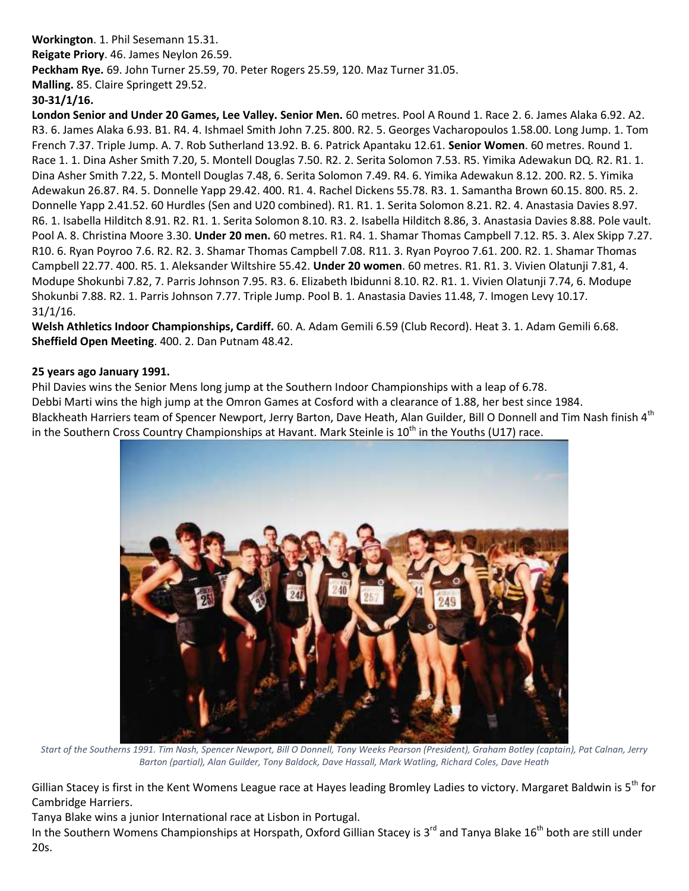### **Workington**. 1. Phil Sesemann 15.31. **Reigate Priory**. 46. James Neylon 26.59. **Peckham Rye.** 69. John Turner 25.59, 70. Peter Rogers 25.59, 120. Maz Turner 31.05.

**Malling.** 85. Claire Springett 29.52.

#### **30-31/1/16.**

**London Senior and Under 20 Games, Lee Valley. Senior Men.** 60 metres. Pool A Round 1. Race 2. 6. James Alaka 6.92. A2. R3. 6. James Alaka 6.93. B1. R4. 4. Ishmael Smith John 7.25. 800. R2. 5. Georges Vacharopoulos 1.58.00. Long Jump. 1. Tom French 7.37. Triple Jump. A. 7. Rob Sutherland 13.92. B. 6. Patrick Apantaku 12.61. **Senior Women**. 60 metres. Round 1. Race 1. 1. Dina Asher Smith 7.20, 5. Montell Douglas 7.50. R2. 2. Serita Solomon 7.53. R5. Yimika Adewakun DQ. R2. R1. 1. Dina Asher Smith 7.22, 5. Montell Douglas 7.48, 6. Serita Solomon 7.49. R4. 6. Yimika Adewakun 8.12. 200. R2. 5. Yimika Adewakun 26.87. R4. 5. Donnelle Yapp 29.42. 400. R1. 4. Rachel Dickens 55.78. R3. 1. Samantha Brown 60.15. 800. R5. 2. Donnelle Yapp 2.41.52. 60 Hurdles (Sen and U20 combined). R1. R1. 1. Serita Solomon 8.21. R2. 4. Anastasia Davies 8.97. R6. 1. Isabella Hilditch 8.91. R2. R1. 1. Serita Solomon 8.10. R3. 2. Isabella Hilditch 8.86, 3. Anastasia Davies 8.88. Pole vault. Pool A. 8. Christina Moore 3.30. **Under 20 men.** 60 metres. R1. R4. 1. Shamar Thomas Campbell 7.12. R5. 3. Alex Skipp 7.27. R10. 6. Ryan Poyroo 7.6. R2. R2. 3. Shamar Thomas Campbell 7.08. R11. 3. Ryan Poyroo 7.61. 200. R2. 1. Shamar Thomas Campbell 22.77. 400. R5. 1. Aleksander Wiltshire 55.42. **Under 20 women**. 60 metres. R1. R1. 3. Vivien Olatunji 7.81, 4. Modupe Shokunbi 7.82, 7. Parris Johnson 7.95. R3. 6. Elizabeth Ibidunni 8.10. R2. R1. 1. Vivien Olatunji 7.74, 6. Modupe Shokunbi 7.88. R2. 1. Parris Johnson 7.77. Triple Jump. Pool B. 1. Anastasia Davies 11.48, 7. Imogen Levy 10.17. 31/1/16.

**Welsh Athletics Indoor Championships, Cardiff.** 60. A. Adam Gemili 6.59 (Club Record). Heat 3. 1. Adam Gemili 6.68. **Sheffield Open Meeting**. 400. 2. Dan Putnam 48.42.

#### **25 years ago January 1991.**

Phil Davies wins the Senior Mens long jump at the Southern Indoor Championships with a leap of 6.78. Debbi Marti wins the high jump at the Omron Games at Cosford with a clearance of 1.88, her best since 1984. Blackheath Harriers team of Spencer Newport, Jerry Barton, Dave Heath, Alan Guilder, Bill O Donnell and Tim Nash finish 4<sup>th</sup> in the Southern Cross Country Championships at Havant. Mark Steinle is 10<sup>th</sup> in the Youths (U17) race.



*Start of the Southerns 1991. Tim Nash, Spencer Newport, Bill O Donnell, Tony Weeks Pearson (President), Graham Botley (captain), Pat Calnan, Jerry Barton (partial), Alan Guilder, Tony Baldock, Dave Hassall, Mark Watling, Richard Coles, Dave Heath*

Gillian Stacey is first in the Kent Womens League race at Hayes leading Bromley Ladies to victory. Margaret Baldwin is  $5<sup>th</sup>$  for Cambridge Harriers.

Tanya Blake wins a junior International race at Lisbon in Portugal.

In the Southern Womens Championships at Horspath, Oxford Gillian Stacey is 3<sup>rd</sup> and Tanya Blake 16<sup>th</sup> both are still under 20s.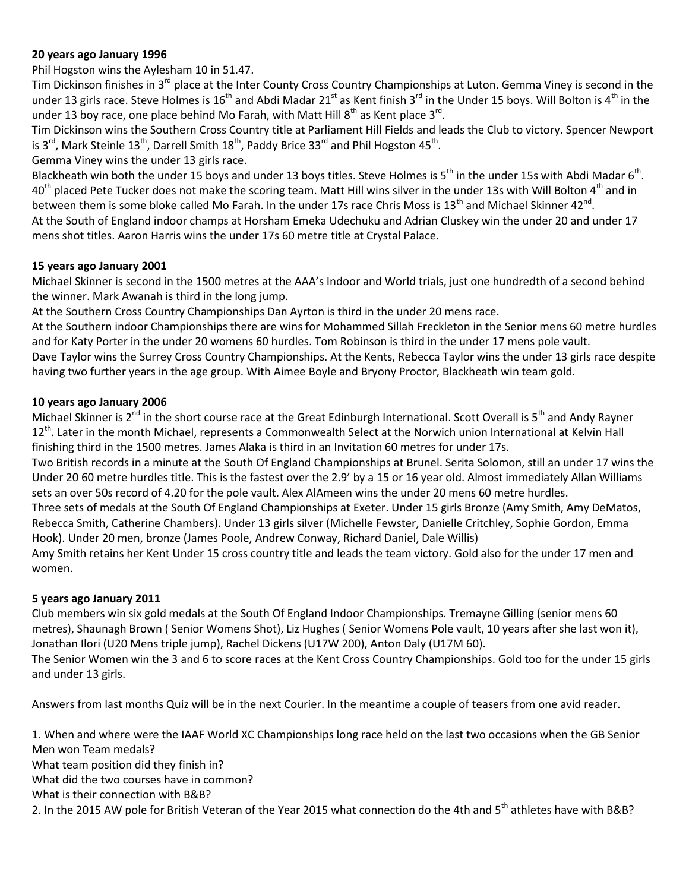#### **20 years ago January 1996**

Phil Hogston wins the Aylesham 10 in 51.47.

Tim Dickinson finishes in 3<sup>rd</sup> place at the Inter County Cross Country Championships at Luton. Gemma Viney is second in the under 13 girls race. Steve Holmes is 16<sup>th</sup> and Abdi Madar 21<sup>st</sup> as Kent finish 3<sup>rd</sup> in the Under 15 boys. Will Bolton is 4<sup>th</sup> in the under 13 boy race, one place behind Mo Farah, with Matt Hill  $8<sup>th</sup>$  as Kent place  $3<sup>rd</sup>$ .

Tim Dickinson wins the Southern Cross Country title at Parliament Hill Fields and leads the Club to victory. Spencer Newport is 3<sup>rd</sup>, Mark Steinle 13<sup>th</sup>, Darrell Smith 18<sup>th</sup>, Paddy Brice 33<sup>rd</sup> and Phil Hogston 45<sup>th</sup>.

Gemma Viney wins the under 13 girls race.

Blackheath win both the under 15 boys and under 13 boys titles. Steve Holmes is 5<sup>th</sup> in the under 15s with Abdi Madar 6<sup>th</sup>.  $40<sup>th</sup>$  placed Pete Tucker does not make the scoring team. Matt Hill wins silver in the under 13s with Will Bolton 4<sup>th</sup> and in between them is some bloke called Mo Farah. In the under 17s race Chris Moss is 13<sup>th</sup> and Michael Skinner 42<sup>nd</sup>. At the South of England indoor champs at Horsham Emeka Udechuku and Adrian Cluskey win the under 20 and under 17

mens shot titles. Aaron Harris wins the under 17s 60 metre title at Crystal Palace.

#### **15 years ago January 2001**

Michael Skinner is second in the 1500 metres at the AAA's Indoor and World trials, just one hundredth of a second behind the winner. Mark Awanah is third in the long jump.

At the Southern Cross Country Championships Dan Ayrton is third in the under 20 mens race.

At the Southern indoor Championships there are wins for Mohammed Sillah Freckleton in the Senior mens 60 metre hurdles and for Katy Porter in the under 20 womens 60 hurdles. Tom Robinson is third in the under 17 mens pole vault. Dave Taylor wins the Surrey Cross Country Championships. At the Kents, Rebecca Taylor wins the under 13 girls race despite

having two further years in the age group. With Aimee Boyle and Bryony Proctor, Blackheath win team gold.

#### **10 years ago January 2006**

Michael Skinner is 2<sup>nd</sup> in the short course race at the Great Edinburgh International. Scott Overall is 5<sup>th</sup> and Andy Rayner 12<sup>th</sup>. Later in the month Michael, represents a Commonwealth Select at the Norwich union International at Kelvin Hall finishing third in the 1500 metres. James Alaka is third in an Invitation 60 metres for under 17s.

Two British records in a minute at the South Of England Championships at Brunel. Serita Solomon, still an under 17 wins the Under 20 60 metre hurdles title. This is the fastest over the 2.9' by a 15 or 16 year old. Almost immediately Allan Williams sets an over 50s record of 4.20 for the pole vault. Alex AlAmeen wins the under 20 mens 60 metre hurdles.

Three sets of medals at the South Of England Championships at Exeter. Under 15 girls Bronze (Amy Smith, Amy DeMatos, Rebecca Smith, Catherine Chambers). Under 13 girls silver (Michelle Fewster, Danielle Critchley, Sophie Gordon, Emma Hook). Under 20 men, bronze (James Poole, Andrew Conway, Richard Daniel, Dale Willis)

Amy Smith retains her Kent Under 15 cross country title and leads the team victory. Gold also for the under 17 men and women.

#### **5 years ago January 2011**

Club members win six gold medals at the South Of England Indoor Championships. Tremayne Gilling (senior mens 60 metres), Shaunagh Brown ( Senior Womens Shot), Liz Hughes ( Senior Womens Pole vault, 10 years after she last won it), Jonathan Ilori (U20 Mens triple jump), Rachel Dickens (U17W 200), Anton Daly (U17M 60).

The Senior Women win the 3 and 6 to score races at the Kent Cross Country Championships. Gold too for the under 15 girls and under 13 girls.

Answers from last months Quiz will be in the next Courier. In the meantime a couple of teasers from one avid reader.

1. When and where were the IAAF World XC Championships long race held on the last two occasions when the GB Senior Men won Team medals? What team position did they finish in? What did the two courses have in common? What is their connection with B&B?

2. In the 2015 AW pole for British Veteran of the Year 2015 what connection do the 4th and 5<sup>th</sup> athletes have with B&B?